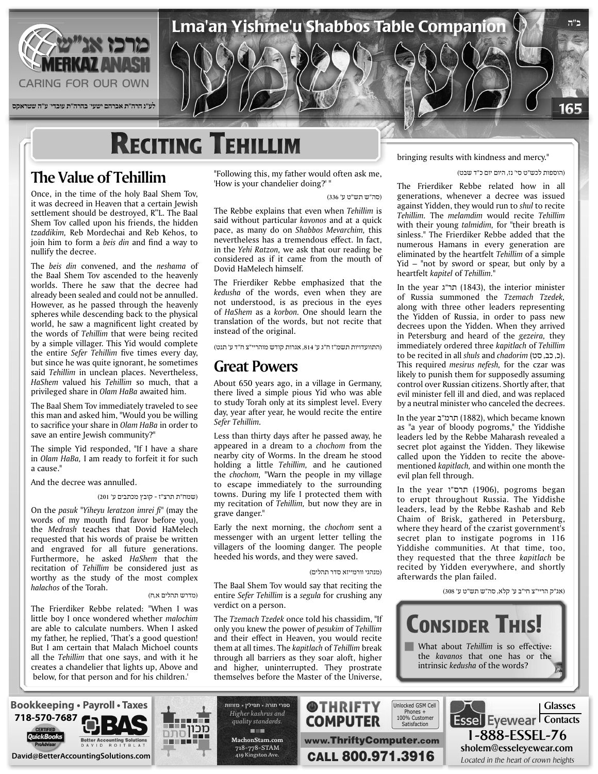

# **RECITING TEHILLIM**

## **The Value of Tehillim**

Once, in the time of the holy Baal Shem Tov, it was decreed in Heaven that a certain Jewish settlement should be destroyed, R"L. The Baal Shem Tov called upon his friends, the hidden tzaddikim, Reb Mordechai and Reb Kehos, to join him to form a *beis din* and find a way to nullify the decree.

The *beis din* convened, and the *neshama* of the Baal Shem Tov ascended to the heavenly worlds. There he saw that the decree had already been sealed and could not be annulled. However, as he passed through the heavenly spheres while descending back to the physical world, he saw a magnificent light created by the words of Tehillim that were being recited by a simple villager. This Yid would complete the entire Sefer Tehillim five times every day, but since he was quite ignorant, he sometimes said Tehillim in unclean places. Nevertheless, HaShem valued his Tehillim so much, that a privileged share in Olam HaBa awaited him.

The Baal Shem Tov immediately traveled to see this man and asked him, "Would you be willing to sacrifice your share in *Olam HaBa* in order to save an entire Jewish community?"

The simple Yid responded, "If I have a share in Olam HaBa, I am ready to forfeit it for such a cause "

### And the decree was annulled.

(שמח"ת תרצ"ז - קובץ מכתבים ע' 201)

On the *pasuk* "Yiheyu leratzon imrei fi" (may the words of my mouth find favor before you), the Medrash teaches that Dovid HaMelech requested that his words of praise be written and engraved for all future generations. Furthermore, he asked HaShem that the recitation of Tehillim be considered just as worthy as the study of the most complex halachos of the Torah.

### (מדרש תהלים א,ח)

The Frierdiker Rebbe related: "When I was little boy I once wondered whether *malochim* are able to calculate numbers. When I asked my father, he replied, 'That's a good question! But I am certain that Malach Michoel counts all the Tehillim that one says, and with it he creates a chandelier that lights up, Above and below, for that person and for his children.'

"Following this, my father would often ask me, 'How is your chandelier doing?' "

(סה"ש תש"ט ע' 336)

The Rebbe explains that even when Tehillim is said without particular kavonos and at a quick pace, as many do on Shabbos Mevarchim, this nevertheless has a tremendous effect. In fact, in the Yehi Ratzon, we ask that our reading be considered as if it came from the mouth of Dovid HaMelech himself.

The Frierdiker Rebbe emphasized that the kedusha of the words, even when they are not understood, is as precious in the eves of *HaShem* as a *korbon*. One should learn the translation of the words, but not recite that instead of the original.

(התוועדויות תשמ"ז ח"ג ע' ,814 אגרות קודש מוהריי"צ ח"ד ע' תנט)

### **Great Powers**

About 650 years ago, in a village in Germany, there lived a simple pious Yid who was able to study Torah only at its simplest level. Every day, year after year, he would recite the entire *.Tehillim Sefer*

Less than thirty days after he passed away, he appeared in a dream to a *chochom* from the nearby city of Worms. In the dream he stood holding a little *Tehillim*, and he cautioned the *chochom*, "Warn the people in my village to escape immediately to the surrounding towns. During my life I protected them with my recitation of *Tehillim*, but now they are in grave danger."

Early the next morning, the *chochom* sent a messenger with an urgent letter telling the villagers of the looming danger. The people heeded his words, and they were saved.

(מנהגי וורמייזא סדר תהלים)

The Baal Shem Tov would say that reciting the entire Sefer Tehillim is a segula for crushing any verdict on a person.

The Tzemach Tzedek once told his chassidim, "If only you knew the power of *pesukim* of *Tehillim* and their effect in Heaven, you would recite them at all times. The *kapitlach* of *Tehillim* break through all barriers as they soar aloft, higher and higher, uninterrupted. They prostrate themselves before the Master of the Universe,

bringing results with kindness and mercy."

### (הוספות לכש"ט סי' נז, היום יום כ"ד שבט)

The Frierdiker Rebbe related how in all generations, whenever a decree was issued against Yidden, they would run to *shul* to recite *Tehillim.* The *melamdim* would recite *Tehillim* with their young talmidim, for "their breath is sinless." The Frierdiker Rebbe added that the numerous Hamans in every generation are eliminated by the heartfelt Tehillim of a simple  $Yid$  – "not by sword or spear, but only by a heartfelt kapitel of Tehillim."

In the year  $x$ "תר"ג (1843), the interior minister of Russia summoned the Tzemach Tzedek, along with three other leaders representing the Yidden of Russia, in order to pass new decrees upon the Yidden. When they arrived in Petersburg and heard of the gezeira, they *immediately ordered three kapitlach of Tehillim* to be recited in all *shuls* and *chadorim* (כ, כב, סט). This required *mesirus nefesh*, for the czar was likely to punish them for supposedly assuming control over Russian citizens. Shortly after, that evil minister fell ill and died, and was replaced by a neutral minister who canceled the decrees.

In the year תרמ"ב (1882), which became known as "a year of bloody pogroms," the Yiddishe leaders led by the Rebbe Maharash revealed a secret plot against the Yidden. They likewise mentioned *kapitlach*, and within one month the called upon the Yidden to recite the aboveevil plan fell through.

ln the year תרס"ו (1906), pogroms began to erupt throughout Russia. The Yiddishe leaders, lead by the Rebbe Rashab and Reb Chaim of Brisk, gathered in Petersburg, where they heard of the czarist government's secret plan to instigate pogroms in 116 Yiddishe communities. At that time, too, they requested that the three kapitlach be recited by Yidden everywhere, and shortly afterwards the plan failed.

(אג"ק הריי"צ חי"ב ע' קלא, סה"ש תש"ט ע' 308)